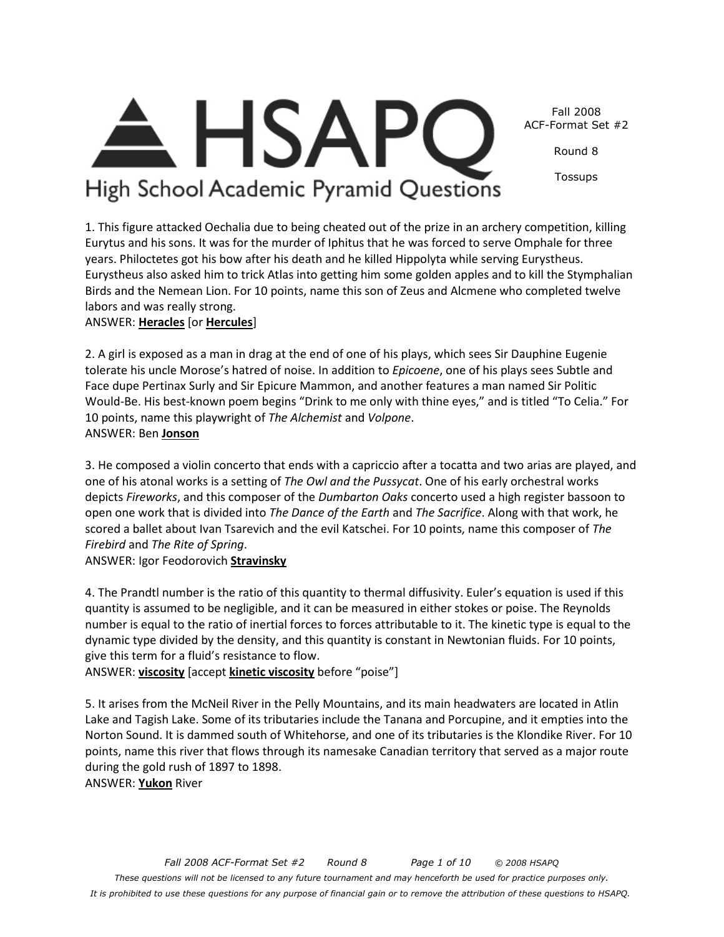

Round 8

Tossups

High School Academic Pyramid Questions

1. This figure attacked Oechalia due to being cheated out of the prize in an archery competition, killing Eurytus and his sons. It was for the murder of Iphitus that he was forced to serve Omphale for three years. Philoctetes got his bow after his death and he killed Hippolyta while serving Eurystheus. Eurystheus also asked him to trick Atlas into getting him some golden apples and to kill the Stymphalian Birds and the Nemean Lion. For 10 points, name this son of Zeus and Alcmene who completed twelve labors and was really strong.

ANSWER: **Heracles** [or **Hercules**]

2. A girl is exposed as a man in drag at the end of one of his plays, which sees Sir Dauphine Eugenie tolerate his uncle Morose's hatred of noise. In addition to *Epicoene*, one of his plays sees Subtle and Face dupe Pertinax Surly and Sir Epicure Mammon, and another features a man named Sir Politic Would-Be. His best-known poem begins "Drink to me only with thine eyes," and is titled "To Celia." For 10 points, name this playwright of *The Alchemist* and *Volpone*. ANSWER: Ben **Jonson**

3. He composed a violin concerto that ends with a capriccio after a tocatta and two arias are played, and one of his atonal works is a setting of *The Owl and the Pussycat*. One of his early orchestral works depicts *Fireworks*, and this composer of the *Dumbarton Oaks* concerto used a high register bassoon to open one work that is divided into *The Dance of the Earth* and *The Sacrifice*. Along with that work, he scored a ballet about Ivan Tsarevich and the evil Katschei. For 10 points, name this composer of *The Firebird* and *The Rite of Spring*.

ANSWER: Igor Feodorovich **Stravinsky**

4. The Prandtl number is the ratio of this quantity to thermal diffusivity. Euler's equation is used if this quantity is assumed to be negligible, and it can be measured in either stokes or poise. The Reynolds number is equal to the ratio of inertial forces to forces attributable to it. The kinetic type is equal to the dynamic type divided by the density, and this quantity is constant in Newtonian fluids. For 10 points, give this term for a fluid's resistance to flow.

ANSWER: **viscosity** [accept **kinetic viscosity** before "poise"]

5. It arises from the McNeil River in the Pelly Mountains, and its main headwaters are located in Atlin Lake and Tagish Lake. Some of its tributaries include the Tanana and Porcupine, and it empties into the Norton Sound. It is dammed south of Whitehorse, and one of its tributaries is the Klondike River. For 10 points, name this river that flows through its namesake Canadian territory that served as a major route during the gold rush of 1897 to 1898.

ANSWER: **Yukon** River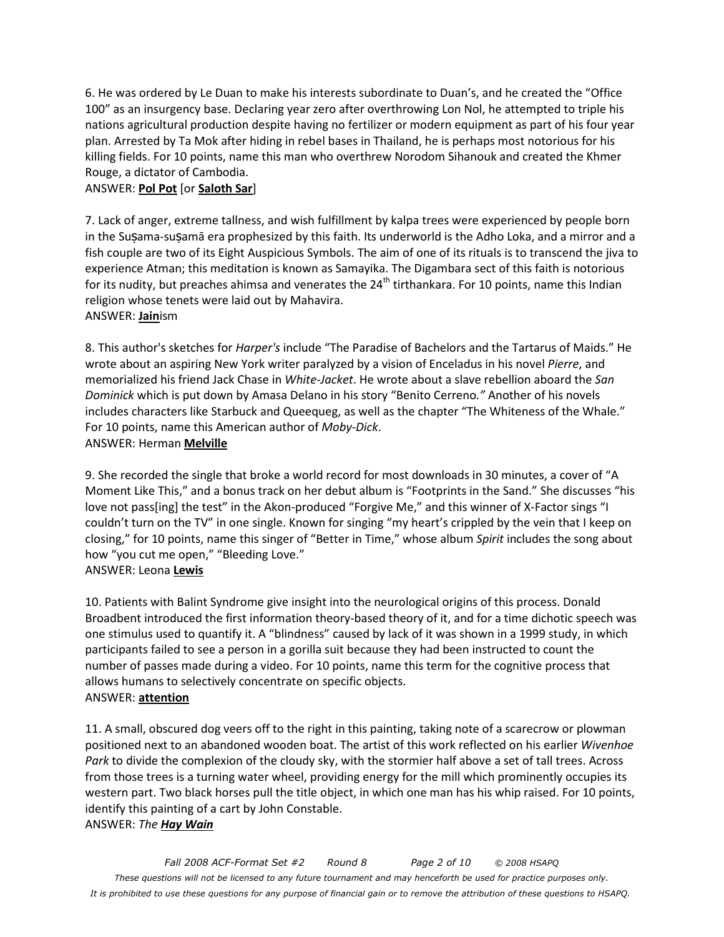6. He was ordered by Le Duan to make his interests subordinate to Duan's, and he created the "Office 100" as an insurgency base. Declaring year zero after overthrowing Lon Nol, he attempted to triple his nations agricultural production despite having no fertilizer or modern equipment as part of his four year plan. Arrested by Ta Mok after hiding in rebel bases in Thailand, he is perhaps most notorious for his killing fields. For 10 points, name this man who overthrew Norodom Sihanouk and created the Khmer Rouge, a dictator of Cambodia.

#### ANSWER: **Pol Pot** [or **Saloth Sar**]

7. Lack of anger, extreme tallness, and wish fulfillment by kalpa trees were experienced by people born in the Susama-susamā era prophesized by this faith. Its underworld is the Adho Loka, and a mirror and a fish couple are two of its Eight Auspicious Symbols. The aim of one of its rituals is to transcend the jiva to experience Atman; this meditation is known as Samayika. The Digambara sect of this faith is notorious for its nudity, but preaches ahimsa and venerates the  $24<sup>th</sup>$  tirthankara. For 10 points, name this Indian religion whose tenets were laid out by Mahavira.

#### ANSWER: **Jain**ism

8. This author's sketches for *Harper's* include "The Paradise of Bachelors and the Tartarus of Maids." He wrote about an aspiring New York writer paralyzed by a vision of Enceladus in his novel *Pierre*, and memorialized his friend Jack Chase in *White-Jacket*. He wrote about a slave rebellion aboard the *San Dominick* which is put down by Amasa Delano in his story "Benito Cerreno*."* Another of his novels includes characters like Starbuck and Queequeg, as well as the chapter "The Whiteness of the Whale." For 10 points, name this American author of *Moby-Dick*. ANSWER: Herman **Melville**

9. She recorded the single that broke a world record for most downloads in 30 minutes, a cover of "A Moment Like This," and a bonus track on her debut album is "Footprints in the Sand." She discusses "his love not pass[ing] the test" in the Akon-produced "Forgive Me," and this winner of X-Factor sings "I couldn't turn on the TV" in one single. Known for singing "my heart's crippled by the vein that I keep on closing," for 10 points, name this singer of "Better in Time," whose album *Spirit* includes the song about how "you cut me open," "Bleeding Love." ANSWER: Leona **Lewis**

10. Patients with Balint Syndrome give insight into the neurological origins of this process. Donald Broadbent introduced the first information theory-based theory of it, and for a time dichotic speech was one stimulus used to quantify it. A "blindness" caused by lack of it was shown in a 1999 study, in which participants failed to see a person in a gorilla suit because they had been instructed to count the number of passes made during a video. For 10 points, name this term for the cognitive process that allows humans to selectively concentrate on specific objects. ANSWER: **attention**

11. A small, obscured dog veers off to the right in this painting, taking note of a scarecrow or plowman positioned next to an abandoned wooden boat. The artist of this work reflected on his earlier *Wivenhoe Park* to divide the complexion of the cloudy sky, with the stormier half above a set of tall trees. Across from those trees is a turning water wheel, providing energy for the mill which prominently occupies its western part. Two black horses pull the title object, in which one man has his whip raised. For 10 points, identify this painting of a cart by John Constable. ANSWER: *The Hay Wain*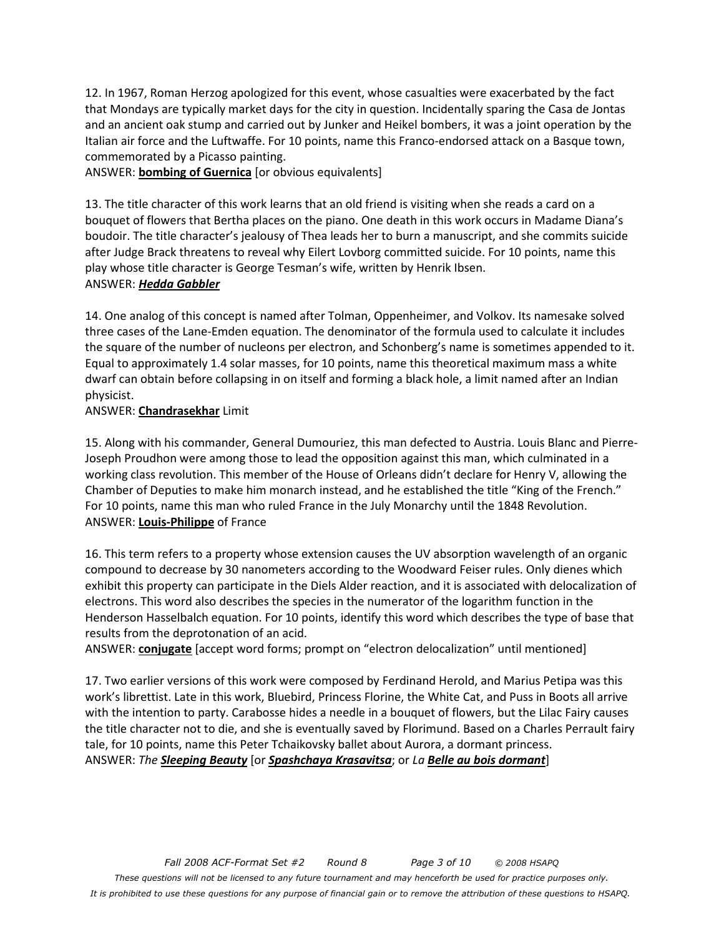12. In 1967, Roman Herzog apologized for this event, whose casualties were exacerbated by the fact that Mondays are typically market days for the city in question. Incidentally sparing the Casa de Jontas and an ancient oak stump and carried out by Junker and Heikel bombers, it was a joint operation by the Italian air force and the Luftwaffe. For 10 points, name this Franco-endorsed attack on a Basque town, commemorated by a Picasso painting.

ANSWER: **bombing of Guernica** [or obvious equivalents]

13. The title character of this work learns that an old friend is visiting when she reads a card on a bouquet of flowers that Bertha places on the piano. One death in this work occurs in Madame Diana's boudoir. The title character's jealousy of Thea leads her to burn a manuscript, and she commits suicide after Judge Brack threatens to reveal why Eilert Lovborg committed suicide. For 10 points, name this play whose title character is George Tesman's wife, written by Henrik Ibsen. ANSWER: *Hedda Gabbler*

14. One analog of this concept is named after Tolman, Oppenheimer, and Volkov. Its namesake solved three cases of the Lane-Emden equation. The denominator of the formula used to calculate it includes the square of the number of nucleons per electron, and Schonberg's name is sometimes appended to it. Equal to approximately 1.4 solar masses, for 10 points, name this theoretical maximum mass a white dwarf can obtain before collapsing in on itself and forming a black hole, a limit named after an Indian physicist.

#### ANSWER: **Chandrasekhar** Limit

15. Along with his commander, General Dumouriez, this man defected to Austria. Louis Blanc and Pierre-Joseph Proudhon were among those to lead the opposition against this man, which culminated in a working class revolution. This member of the House of Orleans didn't declare for Henry V, allowing the Chamber of Deputies to make him monarch instead, and he established the title "King of the French." For 10 points, name this man who ruled France in the July Monarchy until the 1848 Revolution. ANSWER: **Louis-Philippe** of France

16. This term refers to a property whose extension causes the UV absorption wavelength of an organic compound to decrease by 30 nanometers according to the Woodward Feiser rules. Only dienes which exhibit this property can participate in the Diels Alder reaction, and it is associated with delocalization of electrons. This word also describes the species in the numerator of the logarithm function in the Henderson Hasselbalch equation. For 10 points, identify this word which describes the type of base that results from the deprotonation of an acid.

ANSWER: **conjugate** [accept word forms; prompt on "electron delocalization" until mentioned]

17. Two earlier versions of this work were composed by Ferdinand Herold, and Marius Petipa was this work's librettist. Late in this work, Bluebird, Princess Florine, the White Cat, and Puss in Boots all arrive with the intention to party. Carabosse hides a needle in a bouquet of flowers, but the Lilac Fairy causes the title character not to die, and she is eventually saved by Florimund. Based on a Charles Perrault fairy tale, for 10 points, name this Peter Tchaikovsky ballet about Aurora, a dormant princess. ANSWER: *The Sleeping Beauty* [or *Spashchaya Krasavitsa*; or *La Belle au bois dormant*]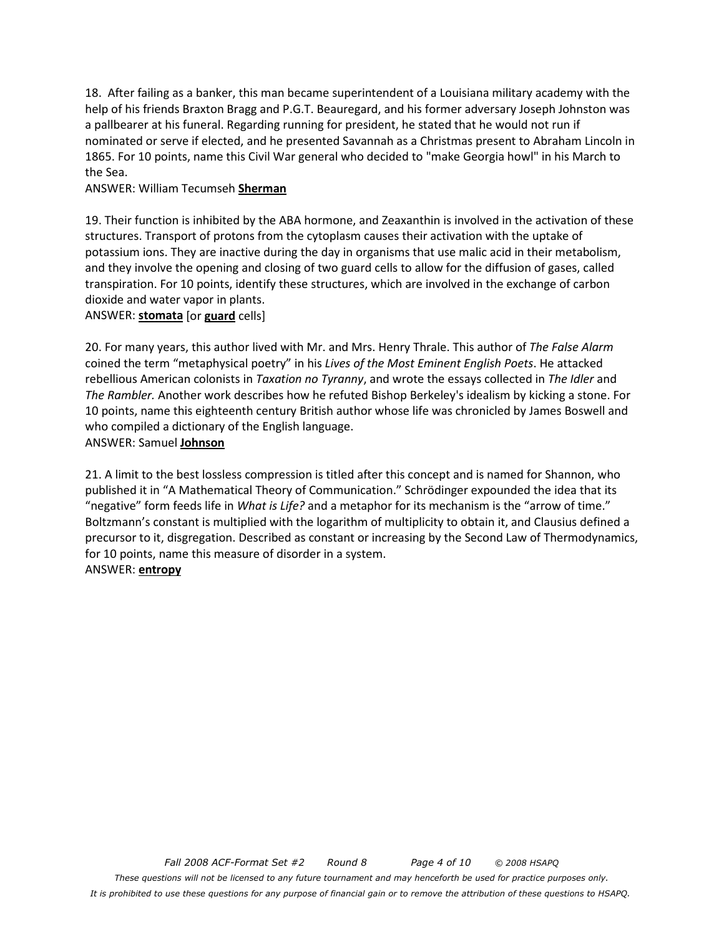18. After failing as a banker, this man became superintendent of a Louisiana military academy with the help of his friends Braxton Bragg and P.G.T. Beauregard, and his former adversary Joseph Johnston was a pallbearer at his funeral. Regarding running for president, he stated that he would not run if nominated or serve if elected, and he presented Savannah as a Christmas present to Abraham Lincoln in 1865. For 10 points, name this Civil War general who decided to "make Georgia howl" in his March to the Sea.

#### ANSWER: William Tecumseh **Sherman**

19. Their function is inhibited by the ABA hormone, and Zeaxanthin is involved in the activation of these structures. Transport of protons from the cytoplasm causes their activation with the uptake of potassium ions. They are inactive during the day in organisms that use malic acid in their metabolism, and they involve the opening and closing of two guard cells to allow for the diffusion of gases, called transpiration. For 10 points, identify these structures, which are involved in the exchange of carbon dioxide and water vapor in plants.

#### ANSWER: **stomata** [or **guard** cells]

20. For many years, this author lived with Mr. and Mrs. Henry Thrale. This author of *The False Alarm* coined the term "metaphysical poetry" in his *Lives of the Most Eminent English Poets*. He attacked rebellious American colonists in *Taxation no Tyranny*, and wrote the essays collected in *The Idler* and *The Rambler.* Another work describes how he refuted Bishop Berkeley's idealism by kicking a stone. For 10 points, name this eighteenth century British author whose life was chronicled by James Boswell and who compiled a dictionary of the English language. ANSWER: Samuel **Johnson**

## 21. A limit to the best lossless compression is titled after this concept and is named for Shannon, who published it in "A Mathematical Theory of Communication." Schrödinger expounded the idea that its "negative" form feeds life in *What is Life?* and a metaphor for its mechanism is the "arrow of time." Boltzmann's constant is multiplied with the logarithm of multiplicity to obtain it, and Clausius defined a precursor to it, disgregation. Described as constant or increasing by the Second Law of Thermodynamics, for 10 points, name this measure of disorder in a system.

#### ANSWER: **entropy**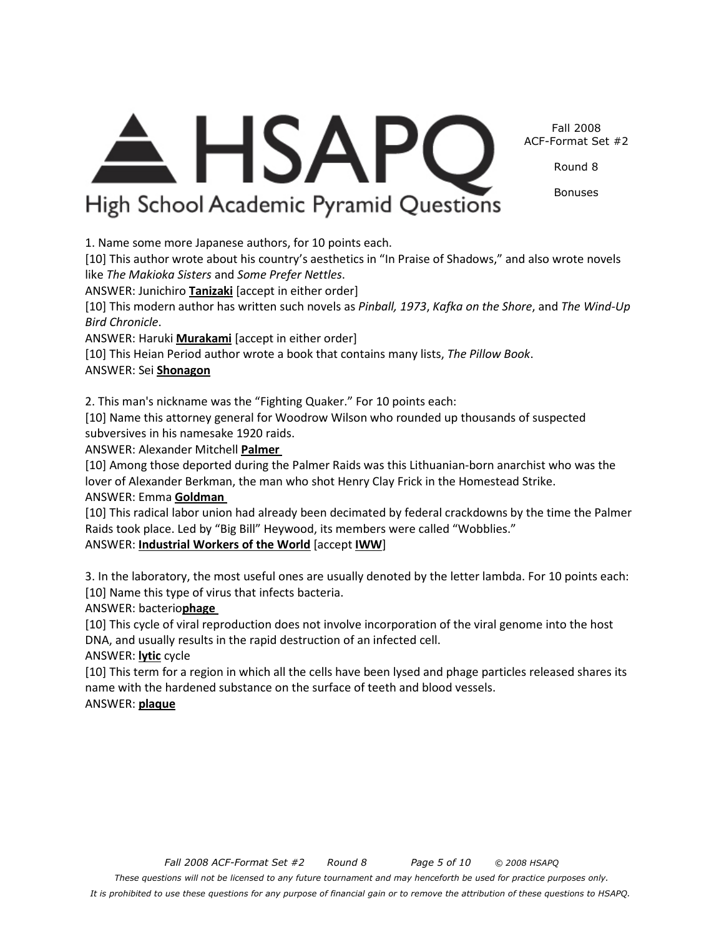*Fall 2008 ACF-Format Set #2 Round 8 Page 5 of 10 © 2008 HSAPQ These questions will not be licensed to any future tournament and may henceforth be used for practice purposes only. It is prohibited to use these questions for any purpose of financial gain or to remove the attribution of these questions to HSAPQ.*

#### Fall 2008 ACF-Format Set #2

Round 8

Bonuses

<del>A</del> HSAPC High School Academic Pyramid Questions

1. Name some more Japanese authors, for 10 points each.

[10] This author wrote about his country's aesthetics in "In Praise of Shadows," and also wrote novels like *The Makioka Sisters* and *Some Prefer Nettles*.

ANSWER: Junichiro **Tanizaki** [accept in either order]

[10] This modern author has written such novels as *Pinball, 1973*, *Kafka on the Shore*, and *The Wind-Up Bird Chronicle*.

ANSWER: Haruki **Murakami** [accept in either order]

[10] This Heian Period author wrote a book that contains many lists, *The Pillow Book*.

## ANSWER: Sei **Shonagon**

2. This man's nickname was the "Fighting Quaker." For 10 points each:

[10] Name this attorney general for Woodrow Wilson who rounded up thousands of suspected subversives in his namesake 1920 raids.

ANSWER: Alexander Mitchell **Palmer** 

[10] Among those deported during the Palmer Raids was this Lithuanian-born anarchist who was the lover of Alexander Berkman, the man who shot Henry Clay Frick in the Homestead Strike. ANSWER: Emma **Goldman** 

[10] This radical labor union had already been decimated by federal crackdowns by the time the Palmer Raids took place. Led by "Big Bill" Heywood, its members were called "Wobblies."

ANSWER: **Industrial Workers of the World** [accept **IWW**]

3. In the laboratory, the most useful ones are usually denoted by the letter lambda. For 10 points each: [10] Name this type of virus that infects bacteria.

ANSWER: bacterio**phage** 

[10] This cycle of viral reproduction does not involve incorporation of the viral genome into the host DNA, and usually results in the rapid destruction of an infected cell.

ANSWER: **lytic** cycle

[10] This term for a region in which all the cells have been lysed and phage particles released shares its name with the hardened substance on the surface of teeth and blood vessels. ANSWER: **plaque**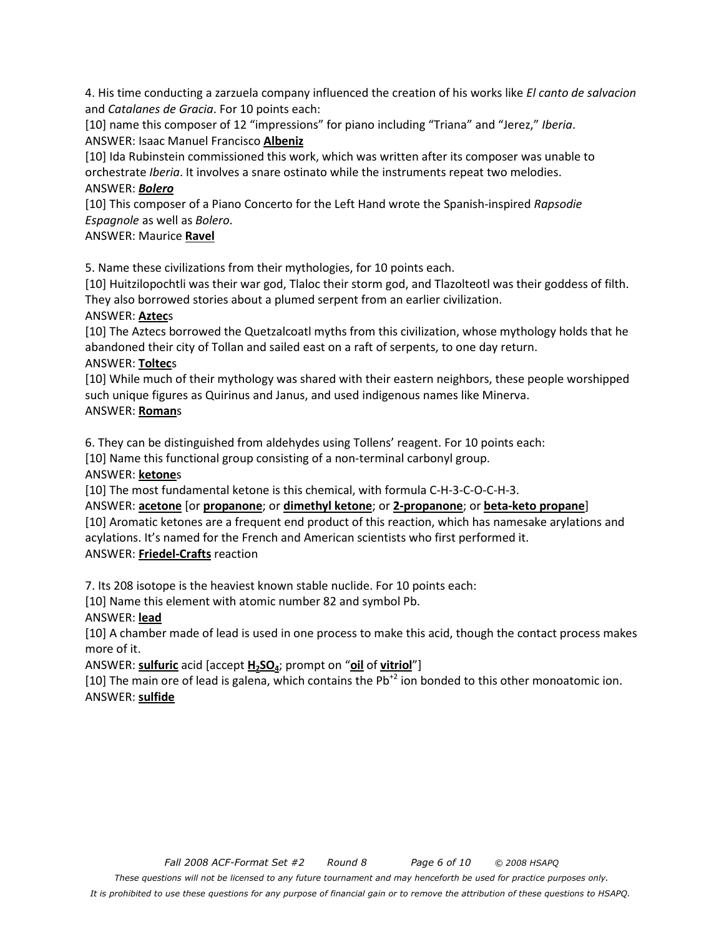4. His time conducting a zarzuela company influenced the creation of his works like *El canto de salvacion* and *Catalanes de Gracia*. For 10 points each:

[10] name this composer of 12 "impressions" for piano including "Triana" and "Jerez," *Iberia*. ANSWER: Isaac Manuel Francisco **Albeniz**

[10] Ida Rubinstein commissioned this work, which was written after its composer was unable to orchestrate *Iberia*. It involves a snare ostinato while the instruments repeat two melodies. ANSWER: *Bolero*

[10] This composer of a Piano Concerto for the Left Hand wrote the Spanish-inspired *Rapsodie Espagnole* as well as *Bolero*.

ANSWER: Maurice **Ravel**

5. Name these civilizations from their mythologies, for 10 points each.

[10] Huitzilopochtli was their war god, Tlaloc their storm god, and Tlazolteotl was their goddess of filth. They also borrowed stories about a plumed serpent from an earlier civilization.

#### ANSWER: **Aztec**s

[10] The Aztecs borrowed the Quetzalcoatl myths from this civilization, whose mythology holds that he abandoned their city of Tollan and sailed east on a raft of serpents, to one day return. ANSWER: **Toltec**s

[10] While much of their mythology was shared with their eastern neighbors, these people worshipped such unique figures as Quirinus and Janus, and used indigenous names like Minerva. ANSWER: **Roman**s

6. They can be distinguished from aldehydes using Tollens' reagent. For 10 points each:

[10] Name this functional group consisting of a non-terminal carbonyl group.

#### ANSWER: **ketone**s

[10] The most fundamental ketone is this chemical, with formula C-H-3-C-O-C-H-3.

ANSWER: **acetone** [or **propanone**; or **dimethyl ketone**; or **2-propanone**; or **beta-keto propane**] [10] Aromatic ketones are a frequent end product of this reaction, which has namesake arylations and acylations. It's named for the French and American scientists who first performed it. ANSWER: **Friedel-Crafts** reaction

7. Its 208 isotope is the heaviest known stable nuclide. For 10 points each:

[10] Name this element with atomic number 82 and symbol Pb.

#### ANSWER: **lead**

[10] A chamber made of lead is used in one process to make this acid, though the contact process makes more of it.

ANSWER: **sulfuric** acid [accept **H2SO4**; prompt on "**oil** of **vitriol**"]

[10] The main ore of lead is galena, which contains the  $Pb^{+2}$  ion bonded to this other monoatomic ion. ANSWER: **sulfide**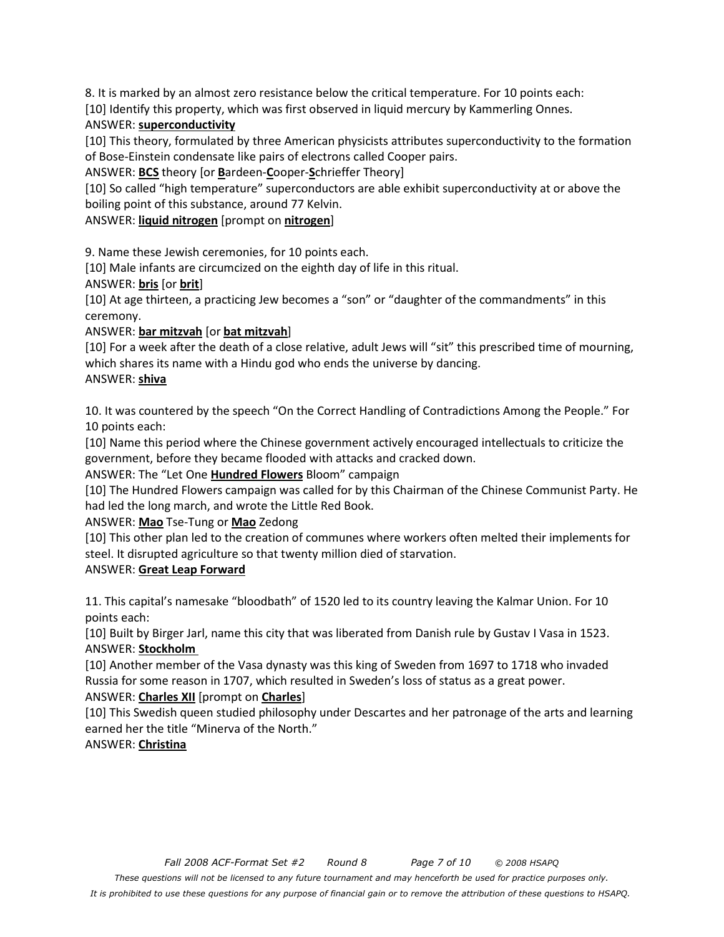8. It is marked by an almost zero resistance below the critical temperature. For 10 points each:

[10] Identify this property, which was first observed in liquid mercury by Kammerling Onnes.

## ANSWER: **superconductivity**

[10] This theory, formulated by three American physicists attributes superconductivity to the formation of Bose-Einstein condensate like pairs of electrons called Cooper pairs.

ANSWER: **BCS** theory [or **B**ardeen-**C**ooper-**S**chrieffer Theory]

[10] So called "high temperature" superconductors are able exhibit superconductivity at or above the boiling point of this substance, around 77 Kelvin.

ANSWER: **liquid nitrogen** [prompt on **nitrogen**]

9. Name these Jewish ceremonies, for 10 points each.

[10] Male infants are circumcized on the eighth day of life in this ritual.

### ANSWER: **bris** [or **brit**]

[10] At age thirteen, a practicing Jew becomes a "son" or "daughter of the commandments" in this ceremony.

## ANSWER: **bar mitzvah** [or **bat mitzvah**]

[10] For a week after the death of a close relative, adult Jews will "sit" this prescribed time of mourning, which shares its name with a Hindu god who ends the universe by dancing. ANSWER: **shiva**

10. It was countered by the speech "On the Correct Handling of Contradictions Among the People." For 10 points each:

[10] Name this period where the Chinese government actively encouraged intellectuals to criticize the government, before they became flooded with attacks and cracked down.

ANSWER: The "Let One **Hundred Flowers** Bloom" campaign

[10] The Hundred Flowers campaign was called for by this Chairman of the Chinese Communist Party. He had led the long march, and wrote the Little Red Book.

## ANSWER: **Mao** Tse-Tung or **Mao** Zedong

[10] This other plan led to the creation of communes where workers often melted their implements for steel. It disrupted agriculture so that twenty million died of starvation.

## ANSWER: **Great Leap Forward**

11. This capital's namesake "bloodbath" of 1520 led to its country leaving the Kalmar Union. For 10 points each:

[10] Built by Birger Jarl, name this city that was liberated from Danish rule by Gustav I Vasa in 1523. ANSWER: **Stockholm** 

[10] Another member of the Vasa dynasty was this king of Sweden from 1697 to 1718 who invaded Russia for some reason in 1707, which resulted in Sweden's loss of status as a great power. ANSWER: **Charles XII** [prompt on **Charles**]

[10] This Swedish queen studied philosophy under Descartes and her patronage of the arts and learning earned her the title "Minerva of the North."

## ANSWER: **Christina**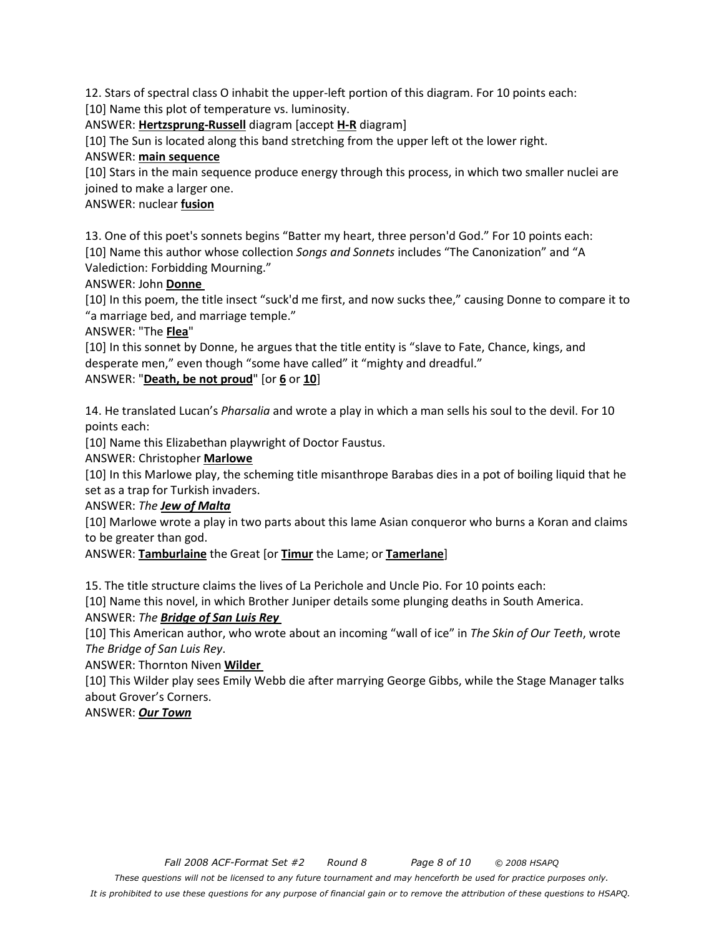12. Stars of spectral class O inhabit the upper-left portion of this diagram. For 10 points each:

[10] Name this plot of temperature vs. luminosity.

ANSWER: **Hertzsprung-Russell** diagram [accept **H-R** diagram]

[10] The Sun is located along this band stretching from the upper left ot the lower right.

# ANSWER: **main sequence**

[10] Stars in the main sequence produce energy through this process, in which two smaller nuclei are joined to make a larger one.

# ANSWER: nuclear **fusion**

13. One of this poet's sonnets begins "Batter my heart, three person'd God." For 10 points each: [10] Name this author whose collection *Songs and Sonnets* includes "The Canonization" and "A Valediction: Forbidding Mourning."

# ANSWER: John **Donne**

[10] In this poem, the title insect "suck'd me first, and now sucks thee," causing Donne to compare it to "a marriage bed, and marriage temple."

## ANSWER: "The **Flea**"

[10] In this sonnet by Donne, he argues that the title entity is "slave to Fate, Chance, kings, and desperate men," even though "some have called" it "mighty and dreadful."

# ANSWER: "**Death, be not proud**" [or **6** or **10**]

14. He translated Lucan's *Pharsalia* and wrote a play in which a man sells his soul to the devil. For 10 points each:

[10] Name this Elizabethan playwright of Doctor Faustus.

## ANSWER: Christopher **Marlowe**

[10] In this Marlowe play, the scheming title misanthrope Barabas dies in a pot of boiling liquid that he set as a trap for Turkish invaders.

## ANSWER: *The Jew of Malta*

[10] Marlowe wrote a play in two parts about this lame Asian conqueror who burns a Koran and claims to be greater than god.

ANSWER: **Tamburlaine** the Great [or **Timur** the Lame; or **Tamerlane**]

15. The title structure claims the lives of La Perichole and Uncle Pio. For 10 points each:

[10] Name this novel, in which Brother Juniper details some plunging deaths in South America.

## ANSWER: *The Bridge of San Luis Rey*

[10] This American author, who wrote about an incoming "wall of ice" in *The Skin of Our Teeth*, wrote *The Bridge of San Luis Rey*.

ANSWER: Thornton Niven **Wilder** 

[10] This Wilder play sees Emily Webb die after marrying George Gibbs, while the Stage Manager talks about Grover's Corners.

# ANSWER: *Our Town*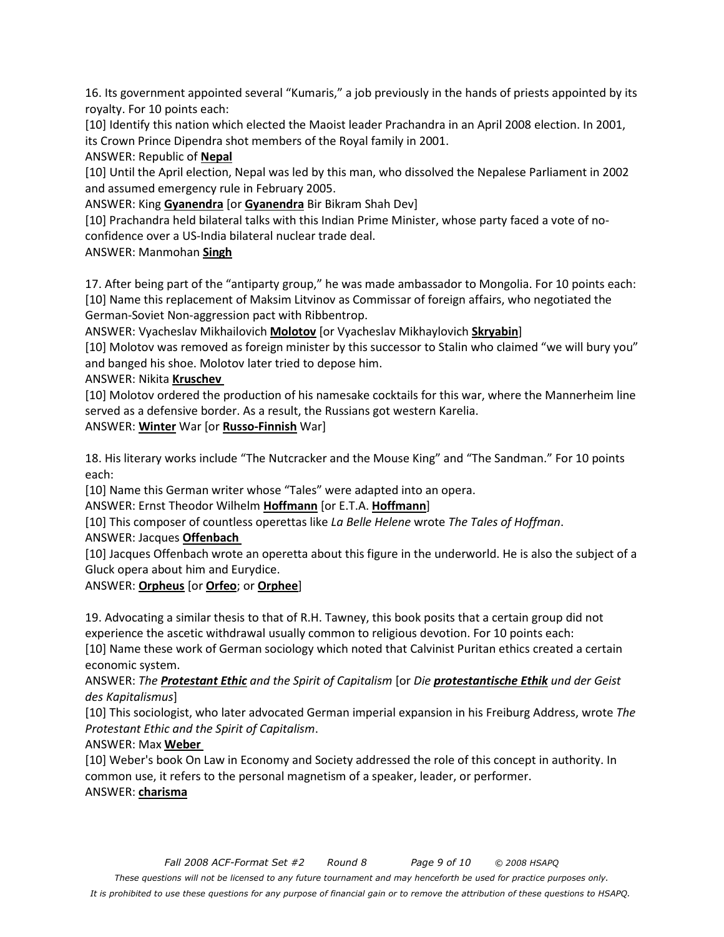16. Its government appointed several "Kumaris," a job previously in the hands of priests appointed by its royalty. For 10 points each:

[10] Identify this nation which elected the Maoist leader Prachandra in an April 2008 election. In 2001, its Crown Prince Dipendra shot members of the Royal family in 2001.

ANSWER: Republic of **Nepal**

[10] Until the April election, Nepal was led by this man, who dissolved the Nepalese Parliament in 2002 and assumed emergency rule in February 2005.

ANSWER: King **Gyanendra** [or **Gyanendra** Bir Bikram Shah Dev]

[10] Prachandra held bilateral talks with this Indian Prime Minister, whose party faced a vote of noconfidence over a US-India bilateral nuclear trade deal.

ANSWER: Manmohan **Singh**

17. After being part of the "antiparty group," he was made ambassador to Mongolia. For 10 points each: [10] Name this replacement of Maksim Litvinov as Commissar of foreign affairs, who negotiated the German-Soviet Non-aggression pact with Ribbentrop.

ANSWER: Vyacheslav Mikhailovich **Molotov** [or Vyacheslav Mikhaylovich **Skryabin**]

[10] Molotov was removed as foreign minister by this successor to Stalin who claimed "we will bury you" and banged his shoe. Molotov later tried to depose him.

ANSWER: Nikita **Kruschev** 

[10] Molotov ordered the production of his namesake cocktails for this war, where the Mannerheim line served as a defensive border. As a result, the Russians got western Karelia.

ANSWER: **Winter** War [or **Russo-Finnish** War]

18. His literary works include "The Nutcracker and the Mouse King" and "The Sandman." For 10 points each:

[10] Name this German writer whose "Tales" were adapted into an opera.

ANSWER: Ernst Theodor Wilhelm **Hoffmann** [or E.T.A. **Hoffmann**]

[10] This composer of countless operettas like *La Belle Helene* wrote *The Tales of Hoffman*.

#### ANSWER: Jacques **Offenbach**

[10] Jacques Offenbach wrote an operetta about this figure in the underworld. He is also the subject of a Gluck opera about him and Eurydice.

#### ANSWER: **Orpheus** [or **Orfeo**; or **Orphee**]

19. Advocating a similar thesis to that of R.H. Tawney, this book posits that a certain group did not experience the ascetic withdrawal usually common to religious devotion. For 10 points each:

[10] Name these work of German sociology which noted that Calvinist Puritan ethics created a certain economic system.

#### ANSWER: *The Protestant Ethic and the Spirit of Capitalism* [or *Die protestantische Ethik und der Geist des Kapitalismus*]

[10] This sociologist, who later advocated German imperial expansion in his Freiburg Address, wrote *The Protestant Ethic and the Spirit of Capitalism*.

## ANSWER: Max **Weber**

[10] Weber's book On Law in Economy and Society addressed the role of this concept in authority. In common use, it refers to the personal magnetism of a speaker, leader, or performer. ANSWER: **charisma**